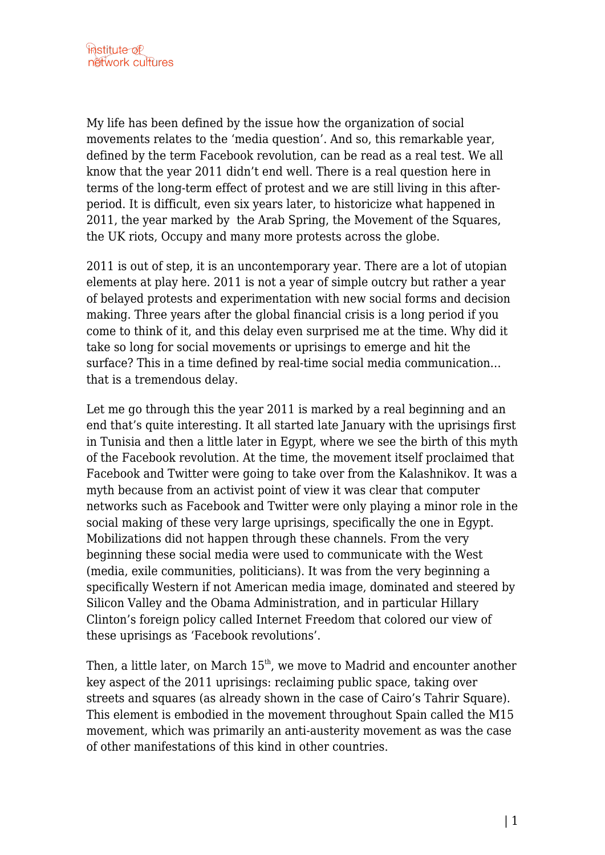My life has been defined by the issue how the organization of social movements relates to the 'media question'. And so, this remarkable year, defined by the term Facebook revolution, can be read as a real test. We all know that the year 2011 didn't end well. There is a real question here in terms of the long-term effect of protest and we are still living in this afterperiod. It is difficult, even six years later, to historicize what happened in 2011, the year marked by the Arab Spring, the Movement of the Squares, the UK riots, Occupy and many more protests across the globe.

2011 is out of step, it is an uncontemporary year. There are a lot of utopian elements at play here. 2011 is not a year of simple outcry but rather a year of belayed protests and experimentation with new social forms and decision making. Three years after the global financial crisis is a long period if you come to think of it, and this delay even surprised me at the time. Why did it take so long for social movements or uprisings to emerge and hit the surface? This in a time defined by real-time social media communication… that is a tremendous delay.

Let me go through this the year 2011 is marked by a real beginning and an end that's quite interesting. It all started late January with the uprisings first in Tunisia and then a little later in Egypt, where we see the birth of this myth of the Facebook revolution. At the time, the movement itself proclaimed that Facebook and Twitter were going to take over from the Kalashnikov. It was a myth because from an activist point of view it was clear that computer networks such as Facebook and Twitter were only playing a minor role in the social making of these very large uprisings, specifically the one in Egypt. Mobilizations did not happen through these channels. From the very beginning these social media were used to communicate with the West (media, exile communities, politicians). It was from the very beginning a specifically Western if not American media image, dominated and steered by Silicon Valley and the Obama Administration, and in particular Hillary Clinton's foreign policy called Internet Freedom that colored our view of these uprisings as 'Facebook revolutions'.

Then, a little later, on March  $15<sup>th</sup>$ , we move to Madrid and encounter another key aspect of the 2011 uprisings: reclaiming public space, taking over streets and squares (as already shown in the case of Cairo's Tahrir Square). This element is embodied in the movement throughout Spain called the M15 movement, which was primarily an anti-austerity movement as was the case of other manifestations of this kind in other countries.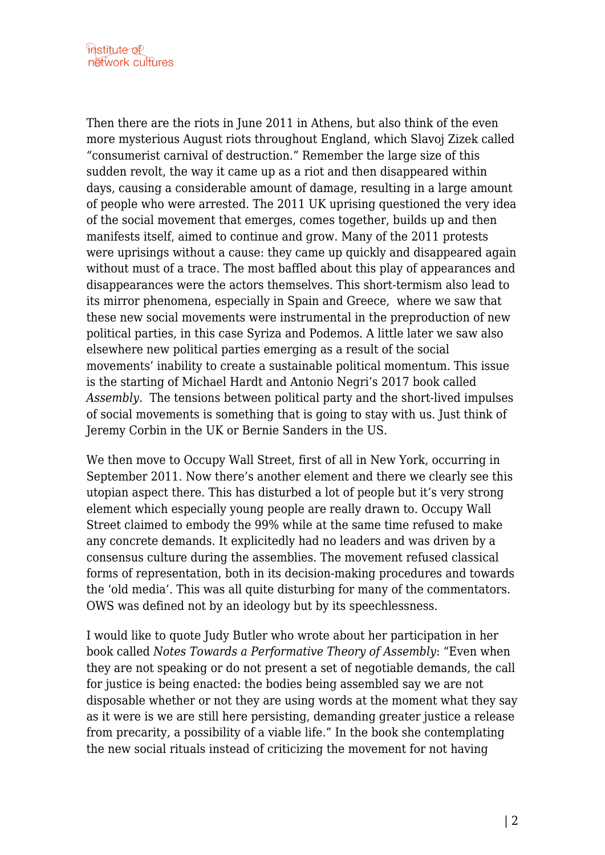Then there are the riots in June 2011 in Athens, but also think of the even more mysterious August riots throughout England, which Slavoj Zizek called "consumerist carnival of destruction." Remember the large size of this sudden revolt, the way it came up as a riot and then disappeared within days, causing a considerable amount of damage, resulting in a large amount of people who were arrested. The 2011 UK uprising questioned the very idea of the social movement that emerges, comes together, builds up and then manifests itself, aimed to continue and grow. Many of the 2011 protests were uprisings without a cause: they came up quickly and disappeared again without must of a trace. The most baffled about this play of appearances and disappearances were the actors themselves. This short-termism also lead to its mirror phenomena, especially in Spain and Greece, where we saw that these new social movements were instrumental in the preproduction of new political parties, in this case Syriza and Podemos. A little later we saw also elsewhere new political parties emerging as a result of the social movements' inability to create a sustainable political momentum. This issue is the starting of Michael Hardt and Antonio Negri's 2017 book called *Assembly*. The tensions between political party and the short-lived impulses of social movements is something that is going to stay with us. Just think of Jeremy Corbin in the UK or Bernie Sanders in the US.

We then move to Occupy Wall Street, first of all in New York, occurring in September 2011. Now there's another element and there we clearly see this utopian aspect there. This has disturbed a lot of people but it's very strong element which especially young people are really drawn to. Occupy Wall Street claimed to embody the 99% while at the same time refused to make any concrete demands. It explicitedly had no leaders and was driven by a consensus culture during the assemblies. The movement refused classical forms of representation, both in its decision-making procedures and towards the 'old media'. This was all quite disturbing for many of the commentators. OWS was defined not by an ideology but by its speechlessness.

I would like to quote Judy Butler who wrote about her participation in her book called *Notes Towards a Performative Theory of Assembly*: "Even when they are not speaking or do not present a set of negotiable demands, the call for justice is being enacted: the bodies being assembled say we are not disposable whether or not they are using words at the moment what they say as it were is we are still here persisting, demanding greater justice a release from precarity, a possibility of a viable life." In the book she contemplating the new social rituals instead of criticizing the movement for not having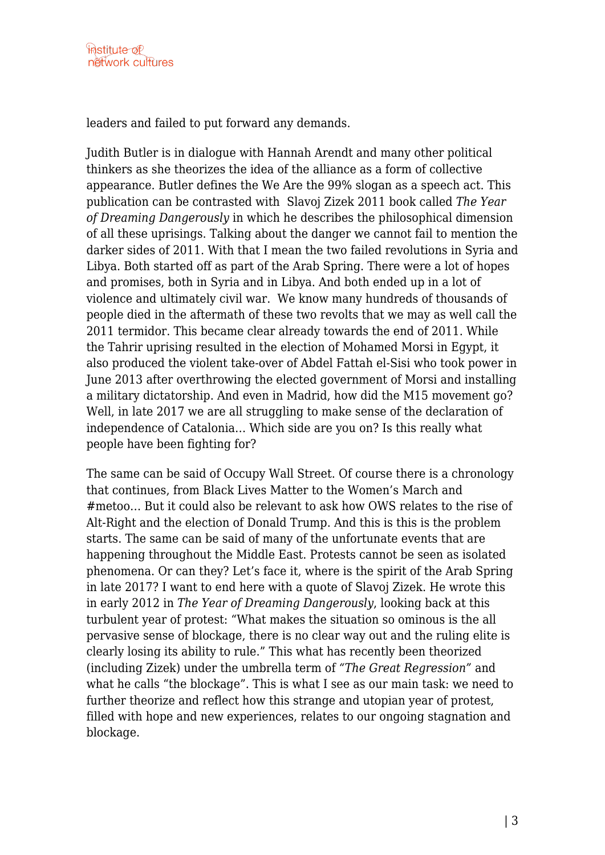leaders and failed to put forward any demands.

Judith Butler is in dialogue with Hannah Arendt and many other political thinkers as she theorizes the idea of the alliance as a form of collective appearance. Butler defines the We Are the 99% slogan as a speech act. This publication can be contrasted with Slavoj Zizek 2011 book called *The Year of Dreaming Dangerously* in which he describes the philosophical dimension of all these uprisings. Talking about the danger we cannot fail to mention the darker sides of 2011. With that I mean the two failed revolutions in Syria and Libya. Both started off as part of the Arab Spring. There were a lot of hopes and promises, both in Syria and in Libya. And both ended up in a lot of violence and ultimately civil war. We know many hundreds of thousands of people died in the aftermath of these two revolts that we may as well call the 2011 termidor. This became clear already towards the end of 2011. While the Tahrir uprising resulted in the election of Mohamed Morsi in Egypt, it also produced the violent take-over of Abdel Fattah el-Sisi who took power in June 2013 after overthrowing the elected government of Morsi and installing a military dictatorship. And even in Madrid, how did the M15 movement go? Well, in late 2017 we are all struggling to make sense of the declaration of independence of Catalonia… Which side are you on? Is this really what people have been fighting for?

The same can be said of Occupy Wall Street. Of course there is a chronology that continues, from Black Lives Matter to the Women's March and #metoo… But it could also be relevant to ask how OWS relates to the rise of Alt-Right and the election of Donald Trump. And this is this is the problem starts. The same can be said of many of the unfortunate events that are happening throughout the Middle East. Protests cannot be seen as isolated phenomena. Or can they? Let's face it, where is the spirit of the Arab Spring in late 2017? I want to end here with a quote of Slavoj Zizek. He wrote this in early 2012 in *The Year of Dreaming Dangerously*, looking back at this turbulent year of protest: "What makes the situation so ominous is the all pervasive sense of blockage, there is no clear way out and the ruling elite is clearly losing its ability to rule." This what has recently been theorized (including Zizek) under the umbrella term of *"The Great Regression"* and what he calls "the blockage". This is what I see as our main task: we need to further theorize and reflect how this strange and utopian year of protest, filled with hope and new experiences, relates to our ongoing stagnation and blockage.